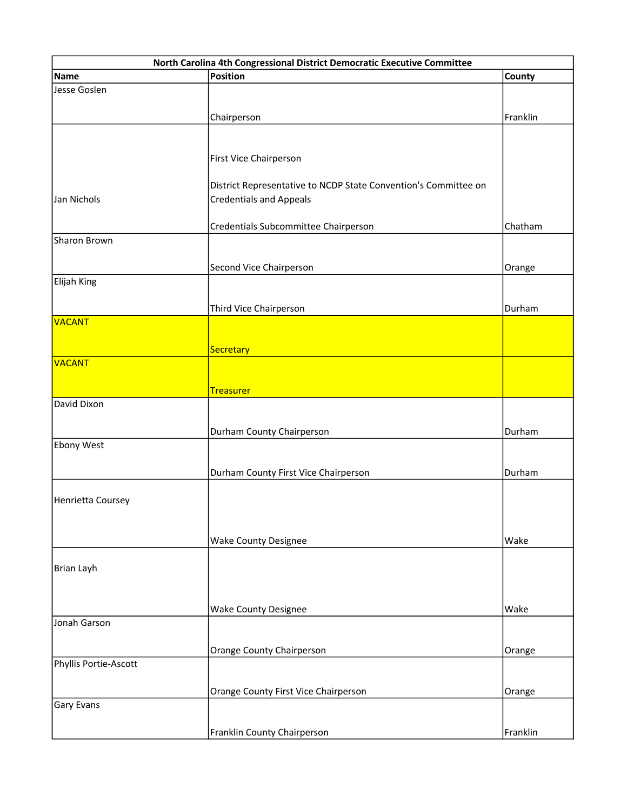| North Carolina 4th Congressional District Democratic Executive Committee |                                                                 |          |  |
|--------------------------------------------------------------------------|-----------------------------------------------------------------|----------|--|
| <b>Name</b>                                                              | <b>Position</b>                                                 | County   |  |
| Jesse Goslen                                                             |                                                                 |          |  |
|                                                                          |                                                                 |          |  |
|                                                                          | Chairperson                                                     | Franklin |  |
|                                                                          |                                                                 |          |  |
|                                                                          | First Vice Chairperson                                          |          |  |
|                                                                          |                                                                 |          |  |
|                                                                          | District Representative to NCDP State Convention's Committee on |          |  |
| Jan Nichols                                                              | <b>Credentials and Appeals</b>                                  |          |  |
|                                                                          |                                                                 |          |  |
|                                                                          | Credentials Subcommittee Chairperson                            | Chatham  |  |
| Sharon Brown                                                             |                                                                 |          |  |
|                                                                          | Second Vice Chairperson                                         | Orange   |  |
| Elijah King                                                              |                                                                 |          |  |
|                                                                          |                                                                 |          |  |
|                                                                          | Third Vice Chairperson                                          | Durham   |  |
| <b>VACANT</b>                                                            |                                                                 |          |  |
|                                                                          |                                                                 |          |  |
| VACANT                                                                   | Secretary                                                       |          |  |
|                                                                          |                                                                 |          |  |
|                                                                          | <b>Treasurer</b>                                                |          |  |
| David Dixon                                                              |                                                                 |          |  |
|                                                                          |                                                                 |          |  |
|                                                                          | Durham County Chairperson                                       | Durham   |  |
| Ebony West                                                               |                                                                 |          |  |
|                                                                          | Durham County First Vice Chairperson                            | Durham   |  |
|                                                                          |                                                                 |          |  |
| Henrietta Coursey                                                        |                                                                 |          |  |
|                                                                          |                                                                 |          |  |
|                                                                          |                                                                 |          |  |
|                                                                          | <b>Wake County Designee</b>                                     | Wake     |  |
|                                                                          |                                                                 |          |  |
| <b>Brian Layh</b>                                                        |                                                                 |          |  |
|                                                                          |                                                                 |          |  |
|                                                                          | <b>Wake County Designee</b>                                     | Wake     |  |
| Jonah Garson                                                             |                                                                 |          |  |
|                                                                          |                                                                 |          |  |
|                                                                          | Orange County Chairperson                                       | Orange   |  |
| Phyllis Portie-Ascott                                                    |                                                                 |          |  |
|                                                                          | Orange County First Vice Chairperson                            | Orange   |  |
| Gary Evans                                                               |                                                                 |          |  |
|                                                                          |                                                                 |          |  |
|                                                                          | Franklin County Chairperson                                     | Franklin |  |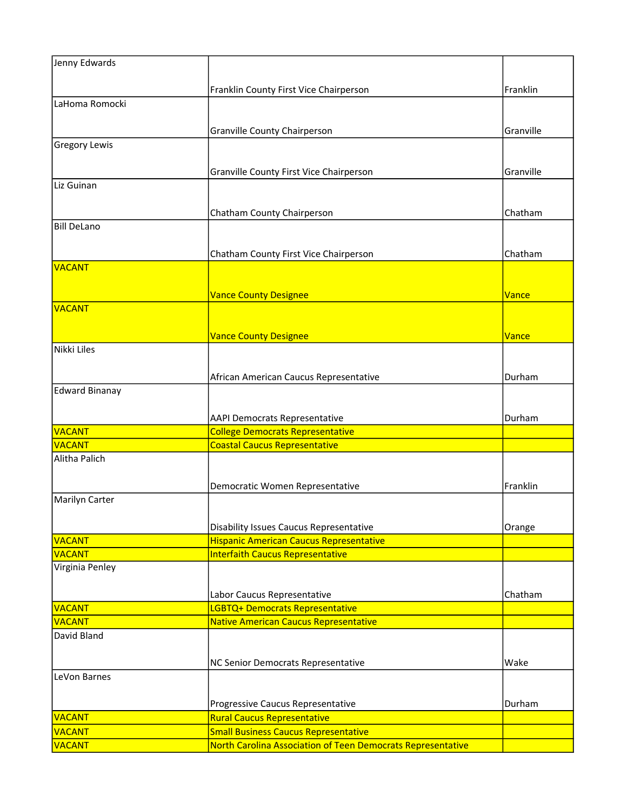| Jenny Edwards                  |                                                                                                            |           |
|--------------------------------|------------------------------------------------------------------------------------------------------------|-----------|
|                                |                                                                                                            |           |
|                                | Franklin County First Vice Chairperson                                                                     | Franklin  |
| LaHoma Romocki                 |                                                                                                            |           |
|                                | <b>Granville County Chairperson</b>                                                                        | Granville |
| <b>Gregory Lewis</b>           |                                                                                                            |           |
|                                |                                                                                                            |           |
|                                | Granville County First Vice Chairperson                                                                    | Granville |
| Liz Guinan                     |                                                                                                            |           |
|                                |                                                                                                            |           |
|                                | Chatham County Chairperson                                                                                 | Chatham   |
| <b>Bill DeLano</b>             |                                                                                                            |           |
|                                |                                                                                                            |           |
|                                | Chatham County First Vice Chairperson                                                                      | Chatham   |
| VACANT                         |                                                                                                            |           |
|                                |                                                                                                            |           |
|                                | <b>Vance County Designee</b>                                                                               | Vance     |
| VACANT                         |                                                                                                            |           |
|                                |                                                                                                            | Vance     |
| Nikki Liles                    | <b>Vance County Designee</b>                                                                               |           |
|                                |                                                                                                            |           |
|                                | African American Caucus Representative                                                                     | Durham    |
| <b>Edward Binanay</b>          |                                                                                                            |           |
|                                |                                                                                                            |           |
|                                | <b>AAPI Democrats Representative</b>                                                                       | Durham    |
| <b>VACANT</b>                  | <b>College Democrats Representative</b>                                                                    |           |
| <b>VACANT</b>                  | <b>Coastal Caucus Representative</b>                                                                       |           |
| Alitha Palich                  |                                                                                                            |           |
|                                |                                                                                                            |           |
|                                | Democratic Women Representative                                                                            | Franklin  |
| Marilyn Carter                 |                                                                                                            |           |
|                                |                                                                                                            |           |
| VACANT                         | <b>Disability Issues Caucus Representative</b><br><b>Hispanic American Caucus Representative</b>           | Orange    |
| VACANT                         | <b>Interfaith Caucus Representative</b>                                                                    |           |
| Virginia Penley                |                                                                                                            |           |
|                                |                                                                                                            |           |
|                                | Labor Caucus Representative                                                                                | Chatham   |
| <b>VACANT</b>                  | LGBTQ+ Democrats Representative                                                                            |           |
| VACANT                         | <b>Native American Caucus Representative</b>                                                               |           |
| David Bland                    |                                                                                                            |           |
|                                |                                                                                                            |           |
|                                | NC Senior Democrats Representative                                                                         | Wake      |
| LeVon Barnes                   |                                                                                                            |           |
|                                |                                                                                                            |           |
|                                | Progressive Caucus Representative                                                                          | Durham    |
| VACANT                         | <b>Rural Caucus Representative</b>                                                                         |           |
| <b>VACANT</b><br><b>VACANT</b> | <b>Small Business Caucus Representative</b><br>North Carolina Association of Teen Democrats Representative |           |
|                                |                                                                                                            |           |